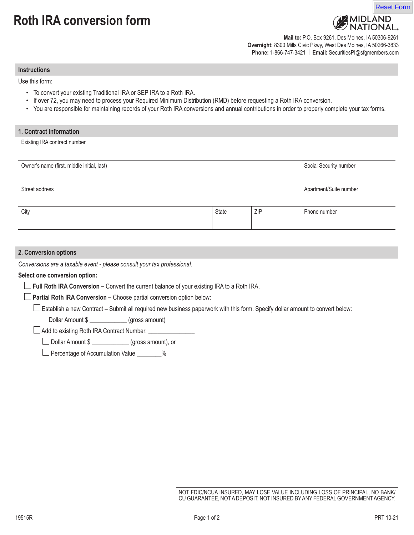# **Roth IRA conversion form**



**Mail to:** P.O. Box 9261, Des Moines, IA 50306-9261 **Overnight:** 8300 Mills Civic Pkwy, West Des Moines, IA 50266-3833 **Phone:** 1-866-747-3421 | **Email:** SecuritiesPI@sfgmembers.com

**Instructions**

Use this form:

- To convert your existing Traditional IRA or SEP IRA to a Roth IRA.
- If over 72, you may need to process your Required Minimum Distribution (RMD) before requesting a Roth IRA conversion.
- You are responsible for maintaining records of your Roth IRA conversions and annual contributions in order to properly complete your tax forms.

#### **1. Contract information**

Existing IRA contract number

| Owner's name (first, middle initial, last) |       |     | Social Security number |
|--------------------------------------------|-------|-----|------------------------|
|                                            |       |     |                        |
| Street address                             |       |     | Apartment/Suite number |
|                                            |       |     |                        |
| City                                       | State | ZIP | Phone number           |
|                                            |       |     |                        |

## **2. Conversion options**

*Conversions are a taxable event - please consult your tax professional.*

#### **Select one conversion option:**

**Full Roth IRA Conversion –** Convert the current balance of your existing IRA to a Roth IRA.

**Partial Roth IRA Conversion –** Choose partial conversion option below:

Establish a new Contract – Submit all required new business paperwork with this form. Specify dollar amount to convert below:

Dollar Amount \$ \_\_\_\_\_\_\_\_\_\_\_\_\_\_ (gross amount)

 $\Box$  Add to existing Roth IRA Contract Number:  $\Box$ 

Dollar Amount \$ \_\_\_\_\_\_\_\_\_\_\_\_ (gross amount), or

□ Percentage of Accumulation Value \_\_\_\_\_\_\_\_%

NOT FDIC/NCUA INSURED, MAY LOSE VALUE INCLUDING LOSS OF PRINCIPAL, NO BANK/ CU GUARANTEE, NOT A DEPOSIT, NOT INSURED BY ANY FEDERAL GOVERNMENT AGENCY.